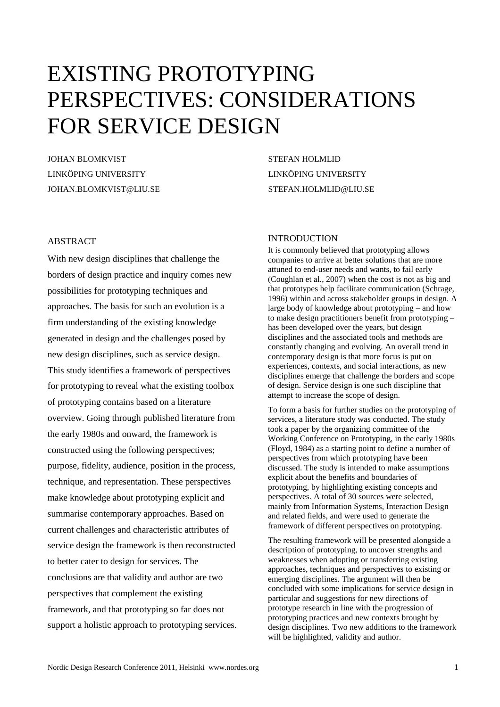# EXISTING PROTOTYPING PERSPECTIVES: CONSIDERATIONS FOR SERVICE DESIGN

JOHAN BLOMKVIST LINKÖPING UNIVERSITY JOHAN.BLOMKVIST@LIU.SE STEFAN HOLMLID LINKÖPING UNIVERSITY STEFAN.HOLMLID@LIU.SE

# ABSTRACT

With new design disciplines that challenge the borders of design practice and inquiry comes new possibilities for prototyping techniques and approaches. The basis for such an evolution is a firm understanding of the existing knowledge generated in design and the challenges posed by new design disciplines, such as service design. This study identifies a framework of perspectives for prototyping to reveal what the existing toolbox of prototyping contains based on a literature overview. Going through published literature from the early 1980s and onward, the framework is constructed using the following perspectives; purpose, fidelity, audience, position in the process, technique, and representation. These perspectives make knowledge about prototyping explicit and summarise contemporary approaches. Based on current challenges and characteristic attributes of service design the framework is then reconstructed to better cater to design for services. The conclusions are that validity and author are two perspectives that complement the existing framework, and that prototyping so far does not support a holistic approach to prototyping services.

# INTRODUCTION

It is commonly believed that prototyping allows companies to arrive at better solutions that are more attuned to end-user needs and wants, to fail early (Coughlan et al., 2007) when the cost is not as big and that prototypes help facilitate communication (Schrage, 1996) within and across stakeholder groups in design. A large body of knowledge about prototyping – and how to make design practitioners benefit from prototyping – has been developed over the years, but design disciplines and the associated tools and methods are constantly changing and evolving. An overall trend in contemporary design is that more focus is put on experiences, contexts, and social interactions, as new disciplines emerge that challenge the borders and scope of design. Service design is one such discipline that attempt to increase the scope of design.

To form a basis for further studies on the prototyping of services, a literature study was conducted. The study took a paper by the organizing committee of the Working Conference on Prototyping, in the early 1980s (Floyd, 1984) as a starting point to define a number of perspectives from which prototyping have been discussed. The study is intended to make assumptions explicit about the benefits and boundaries of prototyping, by highlighting existing concepts and perspectives. A total of 30 sources were selected, mainly from Information Systems, Interaction Design and related fields, and were used to generate the framework of different perspectives on prototyping.

The resulting framework will be presented alongside a description of prototyping, to uncover strengths and weaknesses when adopting or transferring existing approaches, techniques and perspectives to existing or emerging disciplines. The argument will then be concluded with some implications for service design in particular and suggestions for new directions of prototype research in line with the progression of prototyping practices and new contexts brought by design disciplines. Two new additions to the framework will be highlighted, validity and author.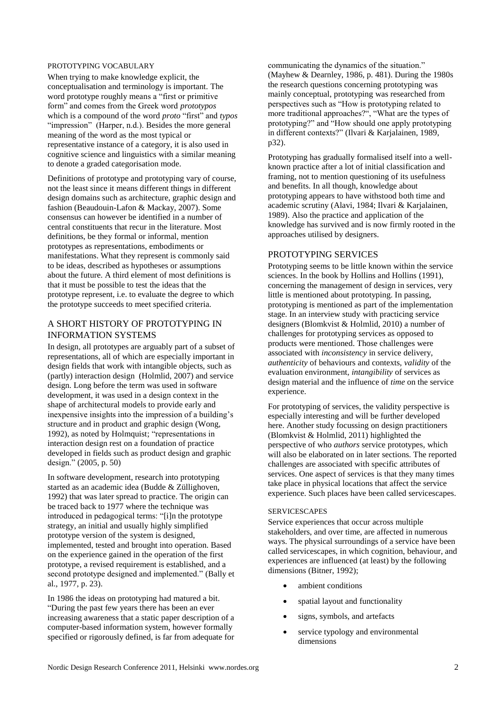## PROTOTYPING VOCABULARY

When trying to make knowledge explicit, the conceptualisation and terminology is important. The word prototype roughly means a "first or primitive form" and comes from the Greek word *prototypos* which is a compound of the word *proto* "first" and *typos* "impression" (Harper, n.d.). Besides the more general meaning of the word as the most typical or representative instance of a category, it is also used in cognitive science and linguistics with a similar meaning to denote a graded categorisation mode.

Definitions of prototype and prototyping vary of course, not the least since it means different things in different design domains such as architecture, graphic design and fashion (Beaudouin-Lafon & Mackay, 2007). Some consensus can however be identified in a number of central constituents that recur in the literature. Most definitions, be they formal or informal, mention prototypes as representations, embodiments or manifestations. What they represent is commonly said to be ideas, described as hypotheses or assumptions about the future. A third element of most definitions is that it must be possible to test the ideas that the prototype represent, i.e. to evaluate the degree to which the prototype succeeds to meet specified criteria.

# A SHORT HISTORY OF PROTOTYPING IN INFORMATION SYSTEMS

In design, all prototypes are arguably part of a subset of representations, all of which are especially important in design fields that work with intangible objects, such as (partly) interaction design (Holmlid, 2007) and service design. Long before the term was used in software development, it was used in a design context in the shape of architectural models to provide early and inexpensive insights into the impression of a building"s structure and in product and graphic design (Wong, 1992), as noted by Holmquist; "representations in interaction design rest on a foundation of practice developed in fields such as product design and graphic design." (2005, p. 50)

In software development, research into prototyping started as an academic idea (Budde & Züllighoven, 1992) that was later spread to practice. The origin can be traced back to 1977 where the technique was introduced in pedagogical terms: "[i]n the prototype strategy, an initial and usually highly simplified prototype version of the system is designed, implemented, tested and brought into operation. Based on the experience gained in the operation of the first prototype, a revised requirement is established, and a second prototype designed and implemented." (Bally et al., 1977, p. 23).

In 1986 the ideas on prototyping had matured a bit. "During the past few years there has been an ever increasing awareness that a static paper description of a computer-based information system, however formally specified or rigorously defined, is far from adequate for

communicating the dynamics of the situation." (Mayhew & Dearnley, 1986, p. 481). During the 1980s the research questions concerning prototyping was mainly conceptual, prototyping was researched from perspectives such as "How is prototyping related to more traditional approaches?", "What are the types of prototyping?" and "How should one apply prototyping in different contexts?" (Ilvari & Karjalainen, 1989, p32).

Prototyping has gradually formalised itself into a wellknown practice after a lot of initial classification and framing, not to mention questioning of its usefulness and benefits. In all though, knowledge about prototyping appears to have withstood both time and academic scrutiny (Alavi, 1984; Ilvari & Karjalainen, 1989). Also the practice and application of the knowledge has survived and is now firmly rooted in the approaches utilised by designers.

# PROTOTYPING SERVICES

Prototyping seems to be little known within the service sciences. In the book by Hollins and Hollins (1991), concerning the management of design in services, very little is mentioned about prototyping. In passing, prototyping is mentioned as part of the implementation stage. In an interview study with practicing service designers (Blomkvist & Holmlid, 2010) a number of challenges for prototyping services as opposed to products were mentioned. Those challenges were associated with *inconsistency* in service delivery, *authenticity* of behaviours and contexts, *validity* of the evaluation environment, *intangibility* of services as design material and the influence of *time* on the service experience.

For prototyping of services, the validity perspective is especially interesting and will be further developed here. Another study focussing on design practitioners (Blomkvist & Holmlid, 2011) highlighted the perspective of who *authors* service prototypes, which will also be elaborated on in later sections. The reported challenges are associated with specific attributes of services. One aspect of services is that they many times take place in physical locations that affect the service experience. Such places have been called servicescapes.

#### **SERVICESCAPES**

Service experiences that occur across multiple stakeholders, and over time, are affected in numerous ways. The physical surroundings of a service have been called servicescapes, in which cognition, behaviour, and experiences are influenced (at least) by the following dimensions (Bitner, 1992);

- ambient conditions
- spatial layout and functionality
- signs, symbols, and artefacts
- service typology and environmental dimensions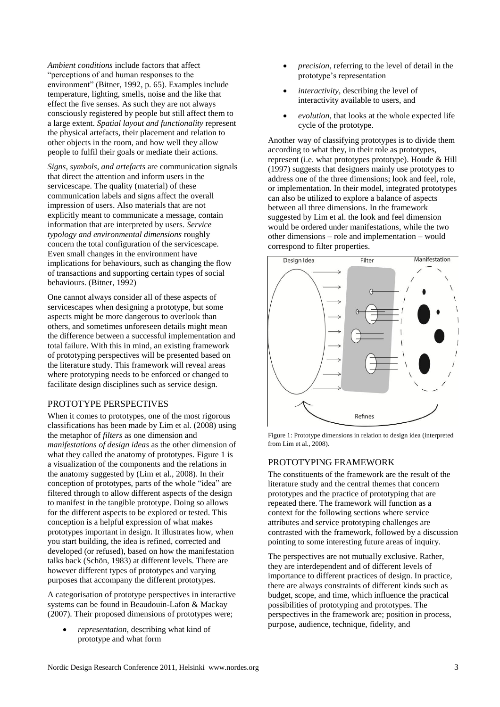*Ambient conditions* include factors that affect "perceptions of and human responses to the environment" (Bitner, 1992, p. 65). Examples include temperature, lighting, smells, noise and the like that effect the five senses. As such they are not always consciously registered by people but still affect them to a large extent. *Spatial layout and functionality* represent the physical artefacts, their placement and relation to other objects in the room, and how well they allow people to fulfil their goals or mediate their actions.

*Signs, symbols, and artefacts* are communication signals that direct the attention and inform users in the servicescape. The quality (material) of these communication labels and signs affect the overall impression of users. Also materials that are not explicitly meant to communicate a message, contain information that are interpreted by users. *Service typology and environmental dimensions* roughly concern the total configuration of the servicescape. Even small changes in the environment have implications for behaviours, such as changing the flow of transactions and supporting certain types of social behaviours. (Bitner, 1992)

One cannot always consider all of these aspects of servicescapes when designing a prototype, but some aspects might be more dangerous to overlook than others, and sometimes unforeseen details might mean the difference between a successful implementation and total failure. With this in mind, an existing framework of prototyping perspectives will be presented based on the literature study. This framework will reveal areas where prototyping needs to be enforced or changed to facilitate design disciplines such as service design.

# PROTOTYPE PERSPECTIVES

When it comes to prototypes, one of the most rigorous classifications has been made by Lim et al. (2008) using the metaphor of *filters* as one dimension and *manifestations of design ideas* as the other dimension of what they called the anatomy of prototypes. Figure 1 is a visualization of the components and the relations in the anatomy suggested by (Lim et al., 2008). In their conception of prototypes, parts of the whole "idea" are filtered through to allow different aspects of the design to manifest in the tangible prototype. Doing so allows for the different aspects to be explored or tested. This conception is a helpful expression of what makes prototypes important in design. It illustrates how, when you start building, the idea is refined, corrected and developed (or refused), based on how the manifestation talks back (Schön, 1983) at different levels. There are however different types of prototypes and varying purposes that accompany the different prototypes.

A categorisation of prototype perspectives in interactive systems can be found in Beaudouin-Lafon & Mackay (2007). Their proposed dimensions of prototypes were;

 *representation*, describing what kind of prototype and what form

- *precision*, referring to the level of detail in the prototype"s representation
- *interactivity*, describing the level of interactivity available to users, and
- *evolution*, that looks at the whole expected life cycle of the prototype.

Another way of classifying prototypes is to divide them according to what they, in their role as prototypes, represent (i.e. what prototypes prototype). Houde & Hill (1997) suggests that designers mainly use prototypes to address one of the three dimensions; look and feel, role, or implementation. In their model, integrated prototypes can also be utilized to explore a balance of aspects between all three dimensions. In the framework suggested by Lim et al. the look and feel dimension would be ordered under manifestations, while the two other dimensions – role and implementation – would correspond to filter properties.



Figure 1: Prototype dimensions in relation to design idea (interpreted from Lim et al., 2008).

# PROTOTYPING FRAMEWORK

The constituents of the framework are the result of the literature study and the central themes that concern prototypes and the practice of prototyping that are repeated there. The framework will function as a context for the following sections where service attributes and service prototyping challenges are contrasted with the framework, followed by a discussion pointing to some interesting future areas of inquiry.

The perspectives are not mutually exclusive. Rather, they are interdependent and of different levels of importance to different practices of design. In practice, there are always constraints of different kinds such as budget, scope, and time, which influence the practical possibilities of prototyping and prototypes. The perspectives in the framework are; position in process, purpose, audience, technique, fidelity, and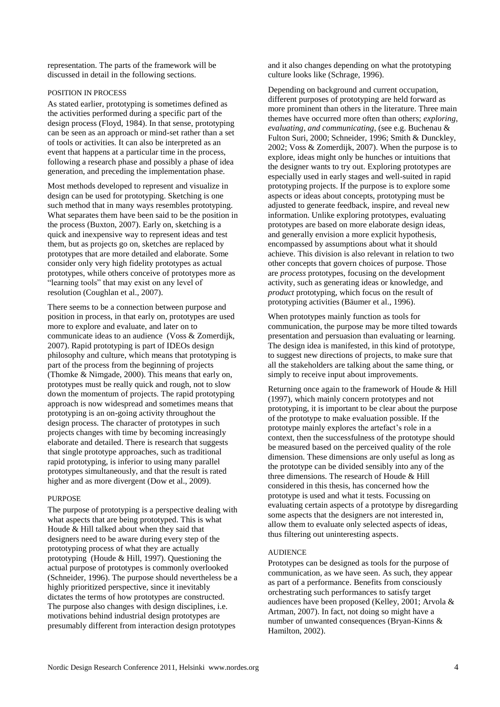representation. The parts of the framework will be discussed in detail in the following sections.

# POSITION IN PROCESS

As stated earlier, prototyping is sometimes defined as the activities performed during a specific part of the design process (Floyd, 1984). In that sense, prototyping can be seen as an approach or mind-set rather than a set of tools or activities. It can also be interpreted as an event that happens at a particular time in the process, following a research phase and possibly a phase of idea generation, and preceding the implementation phase.

Most methods developed to represent and visualize in design can be used for prototyping. Sketching is one such method that in many ways resembles prototyping. What separates them have been said to be the position in the process (Buxton, 2007). Early on, sketching is a quick and inexpensive way to represent ideas and test them, but as projects go on, sketches are replaced by prototypes that are more detailed and elaborate. Some consider only very high fidelity prototypes as actual prototypes, while others conceive of prototypes more as "learning tools" that may exist on any level of resolution (Coughlan et al., 2007).

There seems to be a connection between purpose and position in process, in that early on, prototypes are used more to explore and evaluate, and later on to communicate ideas to an audience (Voss & Zomerdijk, 2007). Rapid prototyping is part of IDEOs design philosophy and culture, which means that prototyping is part of the process from the beginning of projects (Thomke & Nimgade, 2000). This means that early on, prototypes must be really quick and rough, not to slow down the momentum of projects. The rapid prototyping approach is now widespread and sometimes means that prototyping is an on-going activity throughout the design process. The character of prototypes in such projects changes with time by becoming increasingly elaborate and detailed. There is research that suggests that single prototype approaches, such as traditional rapid prototyping, is inferior to using many parallel prototypes simultaneously, and that the result is rated higher and as more divergent (Dow et al., 2009).

# PURPOSE

The purpose of prototyping is a perspective dealing with what aspects that are being prototyped. This is what Houde & Hill talked about when they said that designers need to be aware during every step of the prototyping process of what they are actually prototyping (Houde & Hill, 1997). Questioning the actual purpose of prototypes is commonly overlooked (Schneider, 1996). The purpose should nevertheless be a highly prioritized perspective, since it inevitably dictates the terms of how prototypes are constructed. The purpose also changes with design disciplines, i.e. motivations behind industrial design prototypes are presumably different from interaction design prototypes

and it also changes depending on what the prototyping culture looks like (Schrage, 1996).

Depending on background and current occupation, different purposes of prototyping are held forward as more prominent than others in the literature. Three main themes have occurred more often than others; *exploring*, *evaluating*, *and communicating*, (see e.g. Buchenau & Fulton Suri, 2000; Schneider, 1996; Smith & Dunckley, 2002; Voss & Zomerdijk, 2007). When the purpose is to explore, ideas might only be hunches or intuitions that the designer wants to try out. Exploring prototypes are especially used in early stages and well-suited in rapid prototyping projects. If the purpose is to explore some aspects or ideas about concepts, prototyping must be adjusted to generate feedback, inspire, and reveal new information. Unlike exploring prototypes, evaluating prototypes are based on more elaborate design ideas, and generally envision a more explicit hypothesis, encompassed by assumptions about what it should achieve. This division is also relevant in relation to two other concepts that govern choices of purpose. Those are *process* prototypes, focusing on the development activity, such as generating ideas or knowledge, and *product* prototyping, which focus on the result of prototyping activities (Bäumer et al., 1996).

When prototypes mainly function as tools for communication, the purpose may be more tilted towards presentation and persuasion than evaluating or learning. The design idea is manifested, in this kind of prototype, to suggest new directions of projects, to make sure that all the stakeholders are talking about the same thing, or simply to receive input about improvements.

Returning once again to the framework of Houde & Hill (1997), which mainly concern prototypes and not prototyping, it is important to be clear about the purpose of the prototype to make evaluation possible. If the prototype mainly explores the artefact's role in a context, then the successfulness of the prototype should be measured based on the perceived quality of the role dimension. These dimensions are only useful as long as the prototype can be divided sensibly into any of the three dimensions. The research of Houde & Hill considered in this thesis, has concerned how the prototype is used and what it tests. Focussing on evaluating certain aspects of a prototype by disregarding some aspects that the designers are not interested in, allow them to evaluate only selected aspects of ideas, thus filtering out uninteresting aspects.

# AUDIENCE

Prototypes can be designed as tools for the purpose of communication, as we have seen. As such, they appear as part of a performance. Benefits from consciously orchestrating such performances to satisfy target audiences have been proposed (Kelley, 2001; Arvola & Artman, 2007). In fact, not doing so might have a number of unwanted consequences (Bryan-Kinns & Hamilton, 2002).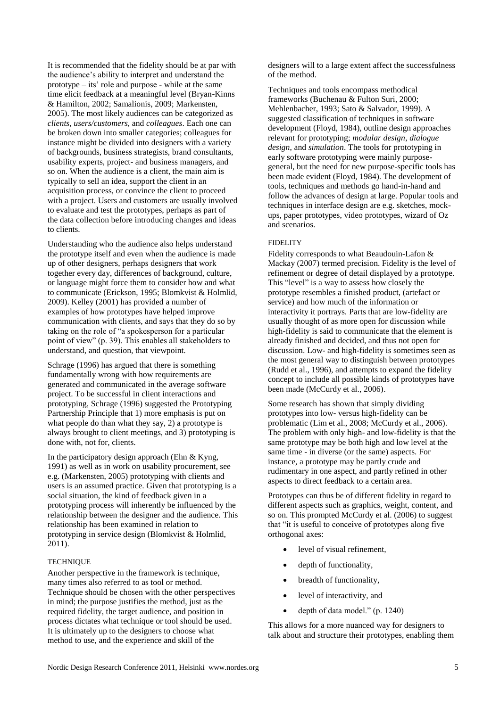It is recommended that the fidelity should be at par with the audience"s ability to interpret and understand the prototype – its' role and purpose - while at the same time elicit feedback at a meaningful level (Bryan-Kinns & Hamilton, 2002; Samalionis, 2009; Markensten, 2005). The most likely audiences can be categorized as *clients*, *users/customers*, and *colleagues*. Each one can be broken down into smaller categories; colleagues for instance might be divided into designers with a variety of backgrounds, business strategists, brand consultants, usability experts, project- and business managers, and so on. When the audience is a client, the main aim is typically to sell an idea, support the client in an acquisition process, or convince the client to proceed with a project. Users and customers are usually involved to evaluate and test the prototypes, perhaps as part of the data collection before introducing changes and ideas to clients.

Understanding who the audience also helps understand the prototype itself and even when the audience is made up of other designers, perhaps designers that work together every day, differences of background, culture, or language might force them to consider how and what to communicate (Erickson, 1995; Blomkvist & Holmlid, 2009). Kelley (2001) has provided a number of examples of how prototypes have helped improve communication with clients, and says that they do so by taking on the role of "a spokesperson for a particular point of view" (p. 39). This enables all stakeholders to understand, and question, that viewpoint.

Schrage (1996) has argued that there is something fundamentally wrong with how requirements are generated and communicated in the average software project. To be successful in client interactions and prototyping, Schrage (1996) suggested the Prototyping Partnership Principle that 1) more emphasis is put on what people do than what they say, 2) a prototype is always brought to client meetings, and 3) prototyping is done with, not for, clients.

In the participatory design approach (Ehn  $&$  Kyng, 1991) as well as in work on usability procurement, see e.g. (Markensten, 2005) prototyping with clients and users is an assumed practice. Given that prototyping is a social situation, the kind of feedback given in a prototyping process will inherently be influenced by the relationship between the designer and the audience. This relationship has been examined in relation to prototyping in service design (Blomkvist & Holmlid, 2011).

# **TECHNIQUE**

Another perspective in the framework is technique, many times also referred to as tool or method. Technique should be chosen with the other perspectives in mind; the purpose justifies the method, just as the required fidelity, the target audience, and position in process dictates what technique or tool should be used. It is ultimately up to the designers to choose what method to use, and the experience and skill of the

designers will to a large extent affect the successfulness of the method.

Techniques and tools encompass methodical frameworks (Buchenau & Fulton Suri, 2000; Mehlenbacher, 1993; Sato & Salvador, 1999). A suggested classification of techniques in software development (Floyd, 1984), outline design approaches relevant for prototyping; *modular design*, *dialogue design*, and *simulation*. The tools for prototyping in early software prototyping were mainly purposegeneral, but the need for new purpose-specific tools has been made evident (Floyd, 1984). The development of tools, techniques and methods go hand-in-hand and follow the advances of design at large. Popular tools and techniques in interface design are e.g. sketches, mockups, paper prototypes, video prototypes, wizard of Oz and scenarios.

# **FIDELITY**

Fidelity corresponds to what Beaudouin-Lafon & Mackay (2007) termed precision. Fidelity is the level of refinement or degree of detail displayed by a prototype. This "level" is a way to assess how closely the prototype resembles a finished product, (artefact or service) and how much of the information or interactivity it portrays. Parts that are low-fidelity are usually thought of as more open for discussion while high-fidelity is said to communicate that the element is already finished and decided, and thus not open for discussion. Low- and high-fidelity is sometimes seen as the most general way to distinguish between prototypes (Rudd et al., 1996), and attempts to expand the fidelity concept to include all possible kinds of prototypes have been made (McCurdy et al., 2006).

Some research has shown that simply dividing prototypes into low- versus high-fidelity can be problematic (Lim et al., 2008; McCurdy et al., 2006). The problem with only high- and low-fidelity is that the same prototype may be both high and low level at the same time - in diverse (or the same) aspects. For instance, a prototype may be partly crude and rudimentary in one aspect, and partly refined in other aspects to direct feedback to a certain area.

Prototypes can thus be of different fidelity in regard to different aspects such as graphics, weight, content, and so on. This prompted McCurdy et al. (2006) to suggest that "it is useful to conceive of prototypes along five orthogonal axes:

- level of visual refinement,
- depth of functionality,
- breadth of functionality,
- level of interactivity, and
- $\bullet$  depth of data model." (p. 1240)

This allows for a more nuanced way for designers to talk about and structure their prototypes, enabling them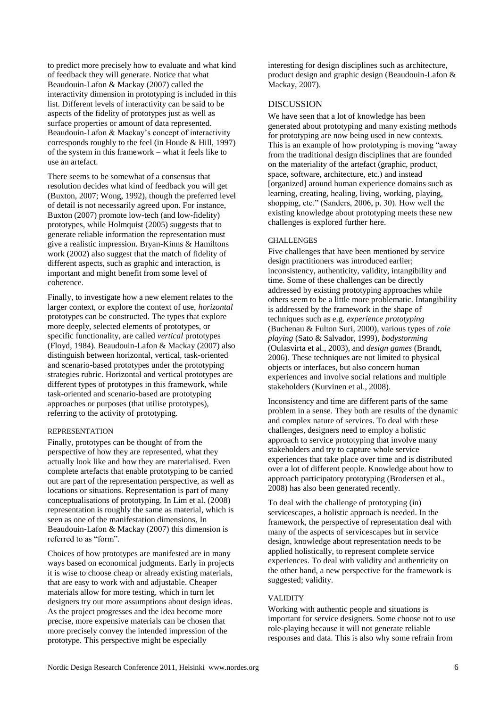to predict more precisely how to evaluate and what kind of feedback they will generate. Notice that what Beaudouin-Lafon & Mackay (2007) called the interactivity dimension in prototyping is included in this list. Different levels of interactivity can be said to be aspects of the fidelity of prototypes just as well as surface properties or amount of data represented. Beaudouin-Lafon & Mackay's concept of interactivity corresponds roughly to the feel (in Houde & Hill, 1997) of the system in this framework – what it feels like to use an artefact.

There seems to be somewhat of a consensus that resolution decides what kind of feedback you will get (Buxton, 2007; Wong, 1992), though the preferred level of detail is not necessarily agreed upon. For instance, Buxton (2007) promote low-tech (and low-fidelity) prototypes, while Holmquist (2005) suggests that to generate reliable information the representation must give a realistic impression. Bryan-Kinns & Hamiltons work (2002) also suggest that the match of fidelity of different aspects, such as graphic and interaction, is important and might benefit from some level of coherence.

Finally, to investigate how a new element relates to the larger context, or explore the context of use, *horizontal* prototypes can be constructed. The types that explore more deeply, selected elements of prototypes, or specific functionality, are called *vertical* prototypes (Floyd, 1984). Beaudouin-Lafon & Mackay (2007) also distinguish between horizontal, vertical, task-oriented and scenario-based prototypes under the prototyping strategies rubric. Horizontal and vertical prototypes are different types of prototypes in this framework, while task-oriented and scenario-based are prototyping approaches or purposes (that utilise prototypes), referring to the activity of prototyping.

#### REPRESENTATION

Finally, prototypes can be thought of from the perspective of how they are represented, what they actually look like and how they are materialised. Even complete artefacts that enable prototyping to be carried out are part of the representation perspective, as well as locations or situations. Representation is part of many conceptualisations of prototyping. In Lim et al. (2008) representation is roughly the same as material, which is seen as one of the manifestation dimensions. In Beaudouin-Lafon & Mackay (2007) this dimension is referred to as "form".

Choices of how prototypes are manifested are in many ways based on economical judgments. Early in projects it is wise to choose cheap or already existing materials, that are easy to work with and adjustable. Cheaper materials allow for more testing, which in turn let designers try out more assumptions about design ideas. As the project progresses and the idea become more precise, more expensive materials can be chosen that more precisely convey the intended impression of the prototype. This perspective might be especially

interesting for design disciplines such as architecture, product design and graphic design (Beaudouin-Lafon & Mackay, 2007).

### DISCUSSION

We have seen that a lot of knowledge has been generated about prototyping and many existing methods for prototyping are now being used in new contexts. This is an example of how prototyping is moving "away from the traditional design disciplines that are founded on the materiality of the artefact (graphic, product, space, software, architecture, etc.) and instead [organized] around human experience domains such as learning, creating, healing, living, working, playing, shopping, etc." (Sanders, 2006, p. 30). How well the existing knowledge about prototyping meets these new challenges is explored further here.

## CHALLENGES

Five challenges that have been mentioned by service design practitioners was introduced earlier; inconsistency, authenticity, validity, intangibility and time. Some of these challenges can be directly addressed by existing prototyping approaches while others seem to be a little more problematic. Intangibility is addressed by the framework in the shape of techniques such as e.g. *experience prototyping* (Buchenau & Fulton Suri, 2000), various types of *role playing* (Sato & Salvador, 1999), *bodystorming* (Oulasvirta et al., 2003), and *design games* (Brandt, 2006). These techniques are not limited to physical objects or interfaces, but also concern human experiences and involve social relations and multiple stakeholders (Kurvinen et al., 2008).

Inconsistency and time are different parts of the same problem in a sense. They both are results of the dynamic and complex nature of services. To deal with these challenges, designers need to employ a holistic approach to service prototyping that involve many stakeholders and try to capture whole service experiences that take place over time and is distributed over a lot of different people. Knowledge about how to approach participatory prototyping (Brodersen et al., 2008) has also been generated recently.

To deal with the challenge of prototyping (in) servicescapes, a holistic approach is needed. In the framework, the perspective of representation deal with many of the aspects of servicescapes but in service design, knowledge about representation needs to be applied holistically, to represent complete service experiences. To deal with validity and authenticity on the other hand, a new perspective for the framework is suggested; validity.

# VALIDITY

Working with authentic people and situations is important for service designers. Some choose not to use role-playing because it will not generate reliable responses and data. This is also why some refrain from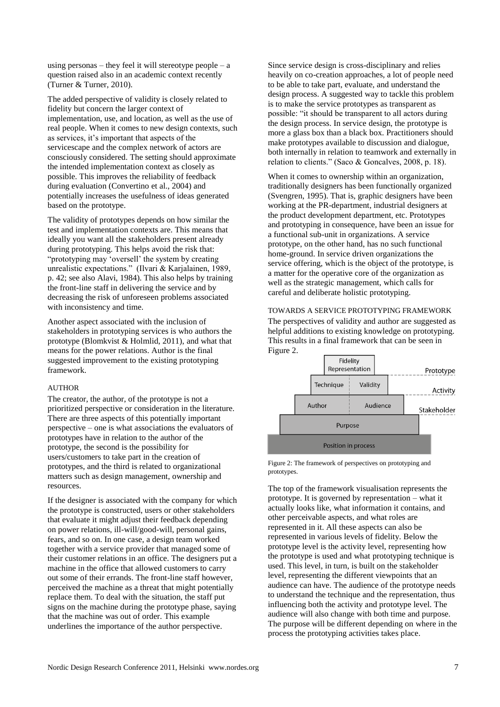using personas – they feel it will stereotype people – a question raised also in an academic context recently (Turner & Turner, 2010).

The added perspective of validity is closely related to fidelity but concern the larger context of implementation, use, and location, as well as the use of real people. When it comes to new design contexts, such as services, it's important that aspects of the servicescape and the complex network of actors are consciously considered. The setting should approximate the intended implementation context as closely as possible. This improves the reliability of feedback during evaluation (Convertino et al., 2004) and potentially increases the usefulness of ideas generated based on the prototype.

The validity of prototypes depends on how similar the test and implementation contexts are. This means that ideally you want all the stakeholders present already during prototyping. This helps avoid the risk that: "prototyping may "oversell" the system by creating unrealistic expectations." (Ilvari & Karjalainen, 1989, p. 42; see also Alavi, 1984). This also helps by training the front-line staff in delivering the service and by decreasing the risk of unforeseen problems associated with inconsistency and time.

Another aspect associated with the inclusion of stakeholders in prototyping services is who authors the prototype (Blomkvist & Holmlid, 2011), and what that means for the power relations. Author is the final suggested improvement to the existing prototyping framework.

## AUTHOR

The creator, the author, of the prototype is not a prioritized perspective or consideration in the literature. There are three aspects of this potentially important perspective – one is what associations the evaluators of prototypes have in relation to the author of the prototype, the second is the possibility for users/customers to take part in the creation of prototypes, and the third is related to organizational matters such as design management, ownership and resources.

If the designer is associated with the company for which the prototype is constructed, users or other stakeholders that evaluate it might adjust their feedback depending on power relations, ill-will/good-will, personal gains, fears, and so on. In one case, a design team worked together with a service provider that managed some of their customer relations in an office. The designers put a machine in the office that allowed customers to carry out some of their errands. The front-line staff however, perceived the machine as a threat that might potentially replace them. To deal with the situation, the staff put signs on the machine during the prototype phase, saying that the machine was out of order. This example underlines the importance of the author perspective.

Since service design is cross-disciplinary and relies heavily on co-creation approaches, a lot of people need to be able to take part, evaluate, and understand the design process. A suggested way to tackle this problem is to make the service prototypes as transparent as possible: "it should be transparent to all actors during the design process. In service design, the prototype is more a glass box than a black box. Practitioners should make prototypes available to discussion and dialogue, both internally in relation to teamwork and externally in relation to clients." (Saco & Goncalves, 2008, p. 18).

When it comes to ownership within an organization, traditionally designers has been functionally organized (Svengren, 1995). That is, graphic designers have been working at the PR-department, industrial designers at the product development department, etc. Prototypes and prototyping in consequence, have been an issue for a functional sub-unit in organizations. A service prototype, on the other hand, has no such functional home-ground. In service driven organizations the service offering, which is the object of the prototype, is a matter for the operative core of the organization as well as the strategic management, which calls for careful and deliberate holistic prototyping.

# TOWARDS A SERVICE PROTOTYPING FRAMEWORK

The perspectives of validity and author are suggested as helpful additions to existing knowledge on prototyping. This results in a final framework that can be seen in Figure 2.



Figure 2: The framework of perspectives on prototyping and prototypes.

The top of the framework visualisation represents the prototype. It is governed by representation – what it actually looks like, what information it contains, and other perceivable aspects, and what roles are represented in it. All these aspects can also be represented in various levels of fidelity. Below the prototype level is the activity level, representing how the prototype is used and what prototyping technique is used. This level, in turn, is built on the stakeholder level, representing the different viewpoints that an audience can have. The audience of the prototype needs to understand the technique and the representation, thus influencing both the activity and prototype level. The audience will also change with both time and purpose. The purpose will be different depending on where in the process the prototyping activities takes place.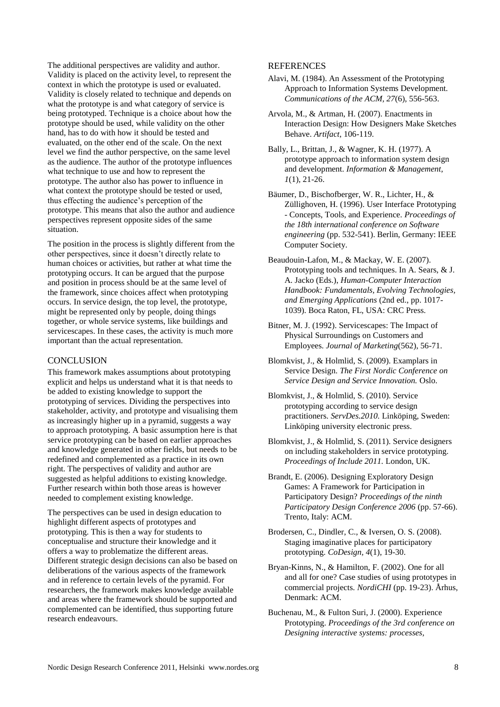The additional perspectives are validity and author. Validity is placed on the activity level, to represent the context in which the prototype is used or evaluated. Validity is closely related to technique and depends on what the prototype is and what category of service is being prototyped. Technique is a choice about how the prototype should be used, while validity on the other hand, has to do with how it should be tested and evaluated, on the other end of the scale. On the next level we find the author perspective, on the same level as the audience. The author of the prototype influences what technique to use and how to represent the prototype. The author also has power to influence in what context the prototype should be tested or used, thus effecting the audience"s perception of the prototype. This means that also the author and audience perspectives represent opposite sides of the same situation.

The position in the process is slightly different from the other perspectives, since it doesn"t directly relate to human choices or activities, but rather at what time the prototyping occurs. It can be argued that the purpose and position in process should be at the same level of the framework, since choices affect when prototyping occurs. In service design, the top level, the prototype, might be represented only by people, doing things together, or whole service systems, like buildings and servicescapes. In these cases, the activity is much more important than the actual representation.

# **CONCLUSION**

This framework makes assumptions about prototyping explicit and helps us understand what it is that needs to be added to existing knowledge to support the prototyping of services. Dividing the perspectives into stakeholder, activity, and prototype and visualising them as increasingly higher up in a pyramid, suggests a way to approach prototyping. A basic assumption here is that service prototyping can be based on earlier approaches and knowledge generated in other fields, but needs to be redefined and complemented as a practice in its own right. The perspectives of validity and author are suggested as helpful additions to existing knowledge. Further research within both those areas is however needed to complement existing knowledge.

The perspectives can be used in design education to highlight different aspects of prototypes and prototyping. This is then a way for students to conceptualise and structure their knowledge and it offers a way to problematize the different areas. Different strategic design decisions can also be based on deliberations of the various aspects of the framework and in reference to certain levels of the pyramid. For researchers, the framework makes knowledge available and areas where the framework should be supported and complemented can be identified, thus supporting future research endeavours.

# **REFERENCES**

- Alavi, M. (1984). An Assessment of the Prototyping Approach to Information Systems Development. *Communications of the ACM, 27*(6), 556-563.
- Arvola, M., & Artman, H. (2007). Enactments in Interaction Design: How Designers Make Sketches Behave. *Artifact*, 106-119.
- Bally, L., Brittan, J., & Wagner, K. H. (1977). A prototype approach to information system design and development. *Information & Management, 1*(1), 21-26.
- Bäumer, D., Bischofberger, W. R., Lichter, H., & Züllighoven, H. (1996). User Interface Prototyping - Concepts, Tools, and Experience. *Proceedings of the 18th international conference on Software engineering* (pp. 532-541). Berlin, Germany: IEEE Computer Society.
- Beaudouin-Lafon, M., & Mackay, W. E. (2007). Prototyping tools and techniques. In A. Sears, & J. A. Jacko (Eds.), *Human-Computer Interaction Handbook: Fundamentals, Evolving Technologies, and Emerging Applications* (2nd ed., pp. 1017- 1039). Boca Raton, FL, USA: CRC Press.
- Bitner, M. J. (1992). Servicescapes: The Impact of Physical Surroundings on Customers and Employees. *Journal of Marketing*(562), 56-71.
- Blomkvist, J., & Holmlid, S. (2009). Examplars in Service Design. *The First Nordic Conference on Service Design and Service Innovation.* Oslo.
- Blomkvist, J., & Holmlid, S. (2010). Service prototyping according to service design practitioners. *ServDes.2010.* Linköping, Sweden: Linköping university electronic press.
- Blomkvist, J., & Holmlid, S. (2011). Service designers on including stakeholders in service prototyping. *Proceedings of Include 2011.* London, UK.
- Brandt, E. (2006). Designing Exploratory Design Games: A Framework for Participation in Participatory Design? *Proceedings of the ninth Participatory Design Conference 2006* (pp. 57-66). Trento, Italy: ACM.
- Brodersen, C., Dindler, C., & Iversen, O. S. (2008). Staging imaginative places for participatory prototyping. *CoDesign, 4*(1), 19-30.
- Bryan-Kinns, N., & Hamilton, F. (2002). One for all and all for one? Case studies of using prototypes in commercial projects. *NordiCHI* (pp. 19-23). Århus, Denmark: ACM.
- Buchenau, M., & Fulton Suri, J. (2000). Experience Prototyping. *Proceedings of the 3rd conference on Designing interactive systems: processes,*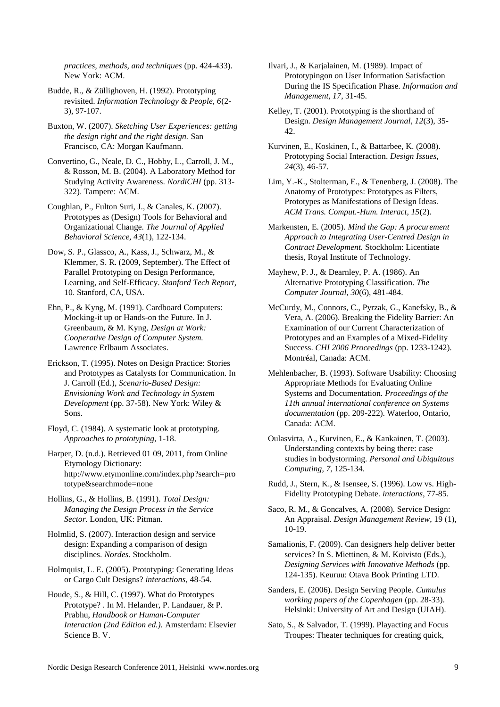*practices, methods, and techniques* (pp. 424-433). New York: ACM.

Budde, R., & Züllighoven, H. (1992). Prototyping revisited. *Information Technology & People, 6*(2- 3), 97-107.

Buxton, W. (2007). *Sketching User Experiences: getting the design right and the right design.* San Francisco, CA: Morgan Kaufmann.

Convertino, G., Neale, D. C., Hobby, L., Carroll, J. M., & Rosson, M. B. (2004). A Laboratory Method for Studying Activity Awareness. *NordiCHI* (pp. 313- 322). Tampere: ACM.

Coughlan, P., Fulton Suri, J., & Canales, K. (2007). Prototypes as (Design) Tools for Behavioral and Organizational Change. *The Journal of Applied Behavioral Science, 43*(1), 122-134.

Dow, S. P., Glassco, A., Kass, J., Schwarz, M., & Klemmer, S. R. (2009, September). The Effect of Parallel Prototyping on Design Performance, Learning, and Self-Efficacy. *Stanford Tech Report*, 10. Stanford, CA, USA.

Ehn, P., & Kyng, M. (1991). Cardboard Computers: Mocking-it up or Hands-on the Future. In J. Greenbaum, & M. Kyng, *Design at Work: Cooperative Design of Computer System.* Lawrence Erlbaum Associates.

Erickson, T. (1995). Notes on Design Practice: Stories and Prototypes as Catalysts for Communication. In J. Carroll (Ed.), *Scenario-Based Design: Envisioning Work and Technology in System Development* (pp. 37-58). New York: Wiley & Sons.

Floyd, C. (1984). A systematic look at prototyping. *Approaches to prototyping*, 1-18.

Harper, D. (n.d.). Retrieved 01 09, 2011, from Online Etymology Dictionary: http://www.etymonline.com/index.php?search=pro totype&searchmode=none

Hollins, G., & Hollins, B. (1991). *Total Design: Managing the Design Process in the Service Sector.* London, UK: Pitman.

Holmlid, S. (2007). Interaction design and service design: Expanding a comparison of design disciplines. *Nordes.* Stockholm.

Holmquist, L. E. (2005). Prototyping: Generating Ideas or Cargo Cult Designs? *interactions*, 48-54.

Houde, S., & Hill, C. (1997). What do Prototypes Prototype? . In M. Helander, P. Landauer, & P. Prabhu, *Handbook or Human-Computer Interaction (2nd Edition ed.).* Amsterdam: Elsevier Science B. V.

Ilvari, J., & Karjalainen, M. (1989). Impact of Prototypingon on User Information Satisfaction During the IS Specification Phase. *Information and Management, 17*, 31-45.

Kelley, T. (2001). Prototyping is the shorthand of Design. *Design Management Journal, 12*(3), 35- 42.

Kurvinen, E., Koskinen, I., & Battarbee, K. (2008). Prototyping Social Interaction. *Design Issues, 24*(3), 46-57.

Lim, Y.-K., Stolterman, E., & Tenenberg, J. (2008). The Anatomy of Prototypes: Prototypes as Filters, Prototypes as Manifestations of Design Ideas. *ACM Trans. Comput.-Hum. Interact, 15*(2).

Markensten, E. (2005). *Mind the Gap: A procurement Approach to Integrating User-Centred Design in Contract Development.* Stockholm: Licentiate thesis, Royal Institute of Technology.

Mayhew, P. J., & Dearnley, P. A. (1986). An Alternative Prototyping Classification. *The Computer Journal, 30*(6), 481-484.

McCurdy, M., Connors, C., Pyrzak, G., Kanefsky, B., & Vera, A. (2006). Breaking the Fidelity Barrier: An Examination of our Current Characterization of Prototypes and an Examples of a Mixed-Fidelity Success. *CHI 2006 Proceedings* (pp. 1233-1242). Montréal, Canada: ACM.

Mehlenbacher, B. (1993). Software Usability: Choosing Appropriate Methods for Evaluating Online Systems and Documentation. *Proceedings of the 11th annual international conference on Systems documentation* (pp. 209-222). Waterloo, Ontario, Canada: ACM.

Oulasvirta, A., Kurvinen, E., & Kankainen, T. (2003). Understanding contexts by being there: case studies in bodystorming. *Personal and Ubiquitous Computing, 7*, 125-134.

Rudd, J., Stern, K., & Isensee, S. (1996). Low vs. High-Fidelity Prototyping Debate. *interactions*, 77-85.

Saco, R. M., & Goncalves, A. (2008). Service Design: An Appraisal. *Design Management Review*, 19 (1), 10-19.

Samalionis, F. (2009). Can designers help deliver better services? In S. Miettinen, & M. Koivisto (Eds.), *Designing Services with Innovative Methods* (pp. 124-135). Keuruu: Otava Book Printing LTD.

Sanders, E. (2006). Design Serving People. *Cumulus working papers of the Copenhagen* (pp. 28-33). Helsinki: University of Art and Design (UIAH).

Sato, S., & Salvador, T. (1999). Playacting and Focus Troupes: Theater techniques for creating quick,